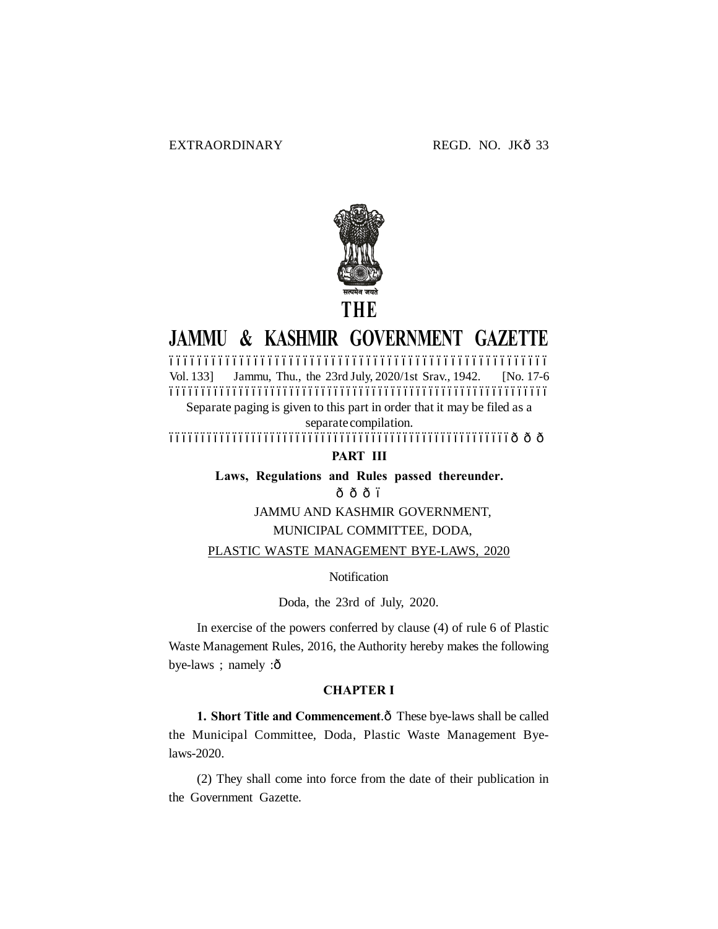

# **JAMMU & KASHMIR GOVERNMENT GAZETTE**

–––––––––––––––––––––––––––––––––––––––––––––––––––––– Vol. 133] Jammu, Thu., the 23rd July, 2020/1st Srav., 1942. [No. 17-6 ––––––––––––––––––––––––––––––––––––––––––––––––––––––––––––

Separate paging is given to this part in order that it may be filed as a separate compilation.

––––––––––––––––––––––––––––––––––––––––––––––––––––––———

**PART III**

**Laws, Regulations and Rules passed thereunder.**

 $\hat{\Omega}$  $\hat{\Omega}$  $\hat{\Omega}$  $\hat{\Omega}$ 

JAMMU AND KASHMIR GOVERNMENT,

## MUNICIPAL COMMITTEE, DODA,

PLASTIC WASTE MANAGEMENT BYE-LAWS, 2020

**Notification** 

Doda, the 23rd of July, 2020.

In exercise of the powers conferred by clause (4) of rule 6 of Plastic Waste Management Rules, 2016, the Authority hereby makes the following bye-laws ; namely :ô

## **CHAPTER I**

1. **Short Title and Commencement**. $\hat{o}$  These bye-laws shall be called the Municipal Committee, Doda, Plastic Waste Management Byelaws-2020.

(2) They shall come into force from the date of their publication in the Government Gazette.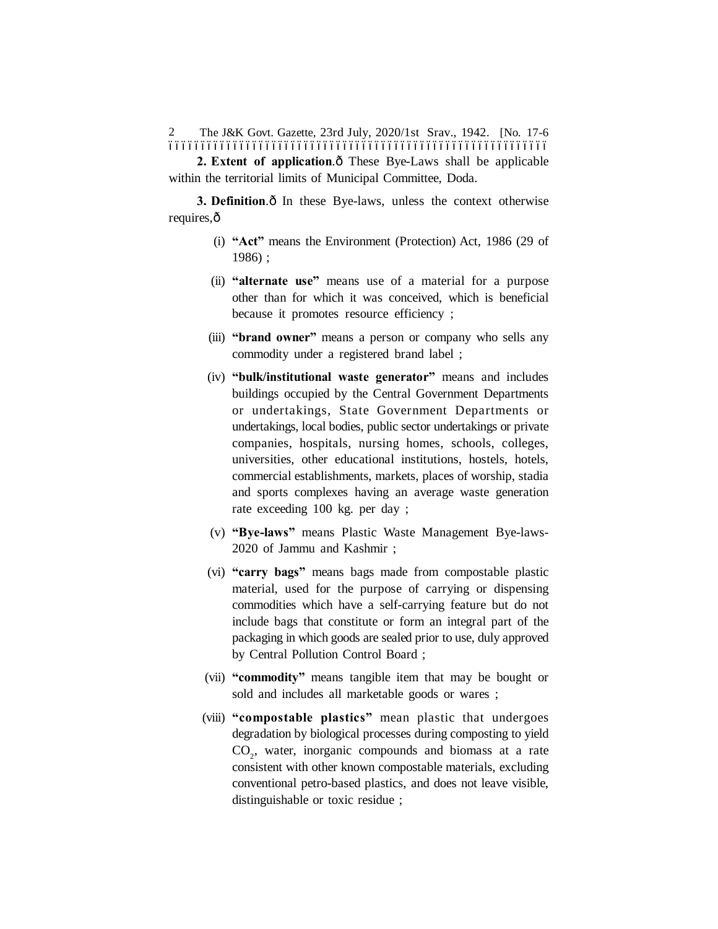The J&K Govt. Gazette, 23rd July, 2020/1st Srav., 1942. [No. 17-6 ––––––––––––––––––––––––––––––––––––––––––––––––––––––––––– 2

**2. Extent of application.** $\hat{o}$  These Bye-Laws shall be applicable within the territorial limits of Municipal Committee, Doda.

**3. Definition.** $\hat{o}$  In these Bye-laws, unless the context otherwise requires, $\hat{o}$ 

- (i) **"Act"** means the Environment (Protection) Act, 1986 (29 of 1986) ;
- (ii) **"alternate use"** means use of a material for a purpose other than for which it was conceived, which is beneficial because it promotes resource efficiency ;
- (iii) **"brand owner"** means a person or company who sells any commodity under a registered brand label ;
- (iv) **"bulk/institutional waste generator"** means and includes buildings occupied by the Central Government Departments or undertakings, State Government Departments or undertakings, local bodies, public sector undertakings or private companies, hospitals, nursing homes, schools, colleges, universities, other educational institutions, hostels, hotels, commercial establishments, markets, places of worship, stadia and sports complexes having an average waste generation rate exceeding 100 kg. per day ;
- (v) **"Bye-laws"** means Plastic Waste Management Bye-laws-2020 of Jammu and Kashmir ;
- (vi) **"carry bags"** means bags made from compostable plastic material, used for the purpose of carrying or dispensing commodities which have a self-carrying feature but do not include bags that constitute or form an integral part of the packaging in which goods are sealed prior to use, duly approved by Central Pollution Control Board ;
- (vii) **"commodity"** means tangible item that may be bought or sold and includes all marketable goods or wares ;
- (viii) **"compostable plastics"** mean plastic that undergoes degradation by biological processes during composting to yield CO<sub>2</sub>, water, inorganic compounds and biomass at a rate consistent with other known compostable materials, excluding conventional petro-based plastics, and does not leave visible, distinguishable or toxic residue ;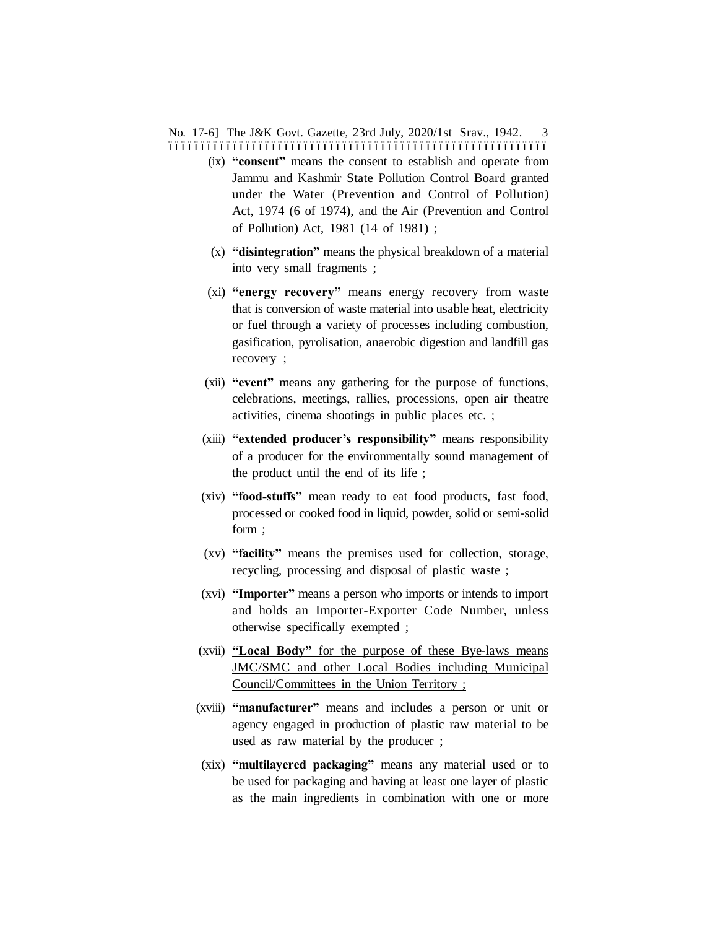No. 17-6] The J&K Govt. Gazette, 23rd July, 2020/1st Srav., 1942. 3 –––––––––––––––––––––––––––––––––––––––––––––––––––––––––––

- (ix) **"consent"** means the consent to establish and operate from Jammu and Kashmir State Pollution Control Board granted under the Water (Prevention and Control of Pollution) Act, 1974 (6 of 1974), and the Air (Prevention and Control of Pollution) Act, 1981 (14 of 1981) ;
- (x) **"disintegration"** means the physical breakdown of a material into very small fragments ;
- (xi) **"energy recovery"** means energy recovery from waste that is conversion of waste material into usable heat, electricity or fuel through a variety of processes including combustion, gasification, pyrolisation, anaerobic digestion and landfill gas recovery ;
- (xii) **"event"** means any gathering for the purpose of functions, celebrations, meetings, rallies, processions, open air theatre activities, cinema shootings in public places etc. ;
- (xiii) **"extended producer's responsibility"** means responsibility of a producer for the environmentally sound management of the product until the end of its life ;
- (xiv) **"food-stuffs"** mean ready to eat food products, fast food, processed or cooked food in liquid, powder, solid or semi-solid form ;
- (xv) **"facility"** means the premises used for collection, storage, recycling, processing and disposal of plastic waste ;
- (xvi) **"Importer"** means a person who imports or intends to import and holds an Importer-Exporter Code Number, unless otherwise specifically exempted ;
- (xvii) **"Local Body"** for the purpose of these Bye-laws means JMC/SMC and other Local Bodies including Municipal Council/Committees in the Union Territory ;
- (xviii) **"manufacturer"** means and includes a person or unit or agency engaged in production of plastic raw material to be used as raw material by the producer ;
- (xix) **"multilayered packaging"** means any material used or to be used for packaging and having at least one layer of plastic as the main ingredients in combination with one or more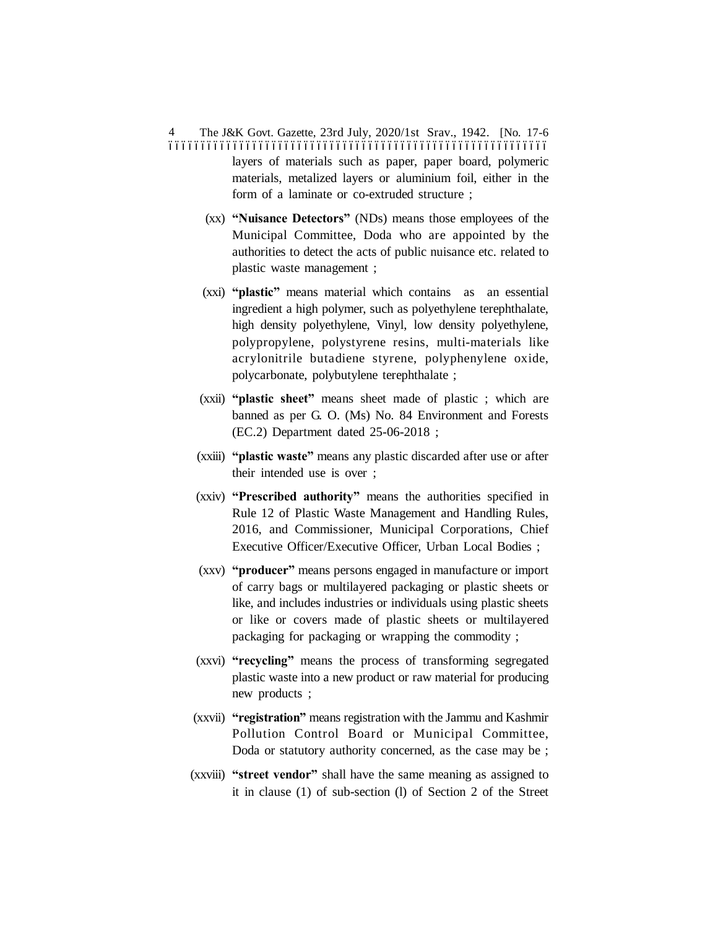The J&K Govt. Gazette, 23rd July, 2020/1st Srav., 1942. [No. 17-6 ––––––––––––––––––––––––––––––––––––––––––––––––––––––––––– 4 layers of materials such as paper, paper board, polymeric materials, metalized layers or aluminium foil, either in the form of a laminate or co-extruded structure ;

- (xx) **"Nuisance Detectors"** (NDs) means those employees of the Municipal Committee, Doda who are appointed by the authorities to detect the acts of public nuisance etc. related to plastic waste management ;
- (xxi) **"plastic"** means material which contains as an essential ingredient a high polymer, such as polyethylene terephthalate, high density polyethylene, Vinyl, low density polyethylene, polypropylene, polystyrene resins, multi-materials like acrylonitrile butadiene styrene, polyphenylene oxide, polycarbonate, polybutylene terephthalate ;
- (xxii) **"plastic sheet"** means sheet made of plastic ; which are banned as per G. O. (Ms) No. 84 Environment and Forests (EC.2) Department dated 25-06-2018 ;
- (xxiii) **"plastic waste"** means any plastic discarded after use or after their intended use is over ;
- (xxiv) **"Prescribed authority"** means the authorities specified in Rule 12 of Plastic Waste Management and Handling Rules, 2016, and Commissioner, Municipal Corporations, Chief Executive Officer/Executive Officer, Urban Local Bodies ;
- (xxv) **"producer"** means persons engaged in manufacture or import of carry bags or multilayered packaging or plastic sheets or like, and includes industries or individuals using plastic sheets or like or covers made of plastic sheets or multilayered packaging for packaging or wrapping the commodity ;
- (xxvi) **"recycling"** means the process of transforming segregated plastic waste into a new product or raw material for producing new products ;
- (xxvii) **"registration"** means registration with the Jammu and Kashmir Pollution Control Board or Municipal Committee, Doda or statutory authority concerned, as the case may be ;
- (xxviii) **"street vendor"** shall have the same meaning as assigned to it in clause (1) of sub-section (l) of Section 2 of the Street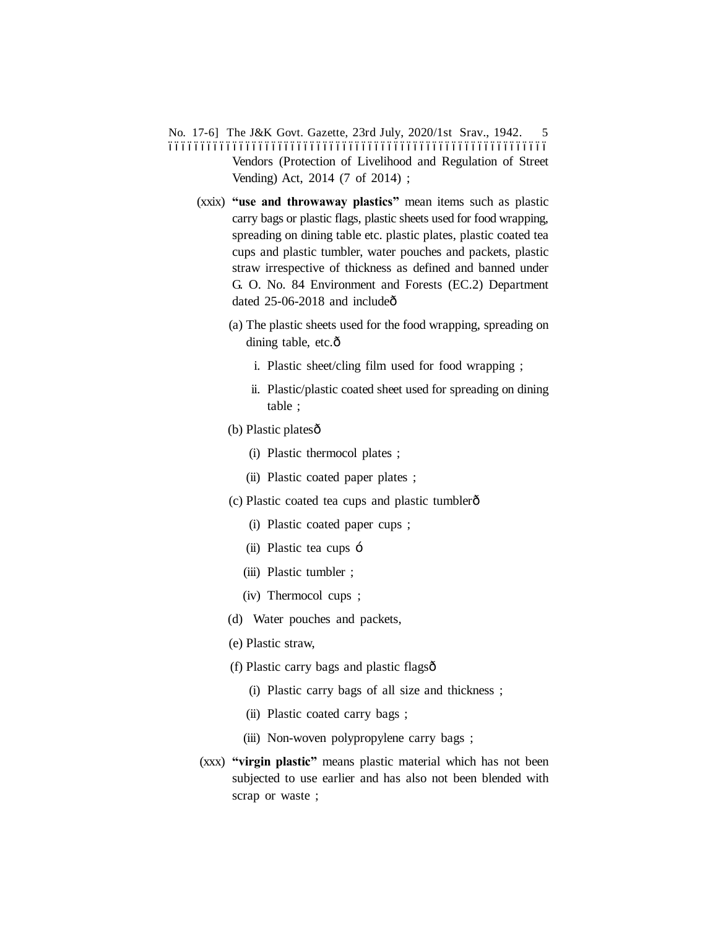- No. 17-6] The J&K Govt. Gazette, 23rd July, 2020/1st Srav., 1942. 5 ––––––––––––––––––––––––––––––––––––––––––––––––––––––––––– Vendors (Protection of Livelihood and Regulation of Street Vending) Act, 2014 (7 of 2014) ;
	- (xxix) **"use and throwaway plastics"** mean items such as plastic carry bags or plastic flags, plastic sheets used for food wrapping, spreading on dining table etc. plastic plates, plastic coated tea cups and plastic tumbler, water pouches and packets, plastic straw irrespective of thickness as defined and banned under G. O. No. 84 Environment and Forests (EC.2) Department dated  $25-06-2018$  and include $\hat{o}$ 
		- (a) The plastic sheets used for the food wrapping, spreading on dining table, etc.ô
			- i. Plastic sheet/cling film used for food wrapping ;
			- ii. Plastic/plastic coated sheet used for spreading on dining table ;
		- (b) Plastic platesô
			- (i) Plastic thermocol plates ;
			- (ii) Plastic coated paper plates ;
		- (c) Plastic coated tea cups and plastic tumbler—
			- (i) Plastic coated paper cups ;
			- (ii) Plastic tea cups  $\div$
			- (iii) Plastic tumbler ;
			- (iv) Thermocol cups ;
		- (d) Water pouches and packets,
		- (e) Plastic straw,
		- (f) Plastic carry bags and plastic flags—
			- (i) Plastic carry bags of all size and thickness ;
			- (ii) Plastic coated carry bags ;
			- (iii) Non-woven polypropylene carry bags ;
	- (xxx) **"virgin plastic"** means plastic material which has not been subjected to use earlier and has also not been blended with scrap or waste ;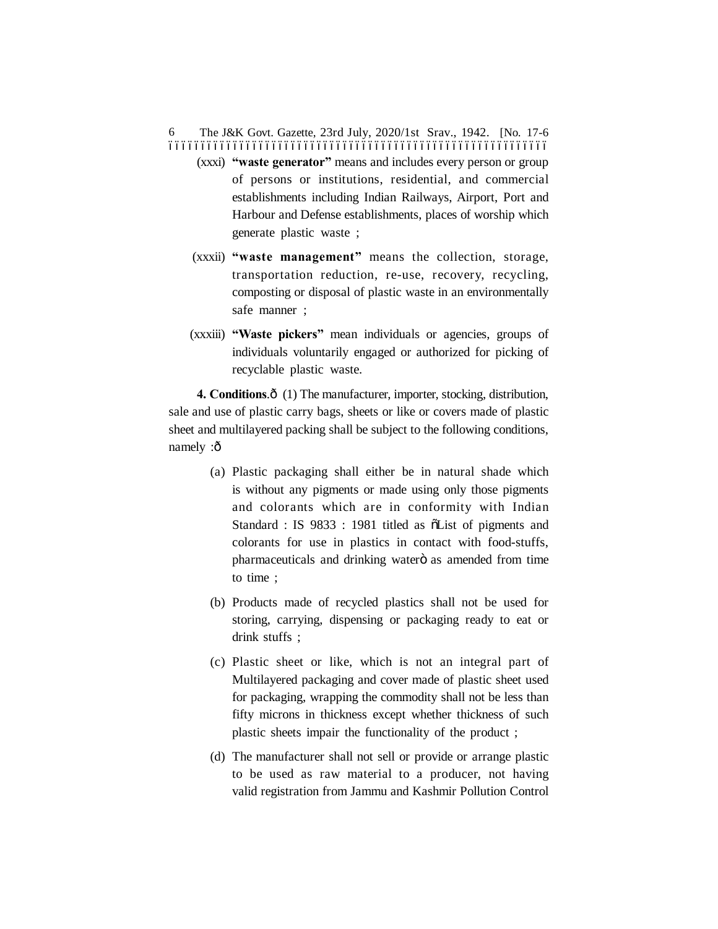The J&K Govt. Gazette, 23rd July, 2020/1st Srav., 1942. [No. 17-6 ––––––––––––––––––––––––––––––––––––––––––––––––––––––––––– 6

- (xxxi) **"waste generator"** means and includes every person or group of persons or institutions, residential, and commercial establishments including Indian Railways, Airport, Port and Harbour and Defense establishments, places of worship which generate plastic waste ;
- (xxxii) **"waste management"** means the collection, storage, transportation reduction, re-use, recovery, recycling, composting or disposal of plastic waste in an environmentally safe manner ;
- (xxxiii) **"Waste pickers"** mean individuals or agencies, groups of individuals voluntarily engaged or authorized for picking of recyclable plastic waste.

**4. Conditions.** $\hat{\sigma}$  (1) The manufacturer, importer, stocking, distribution, sale and use of plastic carry bags, sheets or like or covers made of plastic sheet and multilayered packing shall be subject to the following conditions, namely :ô

- (a) Plastic packaging shall either be in natural shade which is without any pigments or made using only those pigments and colorants which are in conformity with Indian Standard : IS 9833 : 1981 titled as  $\tilde{o}$ List of pigments and colorants for use in plastics in contact with food-stuffs, pharmaceuticals and drinking waterö as amended from time to time ;
- (b) Products made of recycled plastics shall not be used for storing, carrying, dispensing or packaging ready to eat or drink stuffs ;
- (c) Plastic sheet or like, which is not an integral part of Multilayered packaging and cover made of plastic sheet used for packaging, wrapping the commodity shall not be less than fifty microns in thickness except whether thickness of such plastic sheets impair the functionality of the product ;
- (d) The manufacturer shall not sell or provide or arrange plastic to be used as raw material to a producer, not having valid registration from Jammu and Kashmir Pollution Control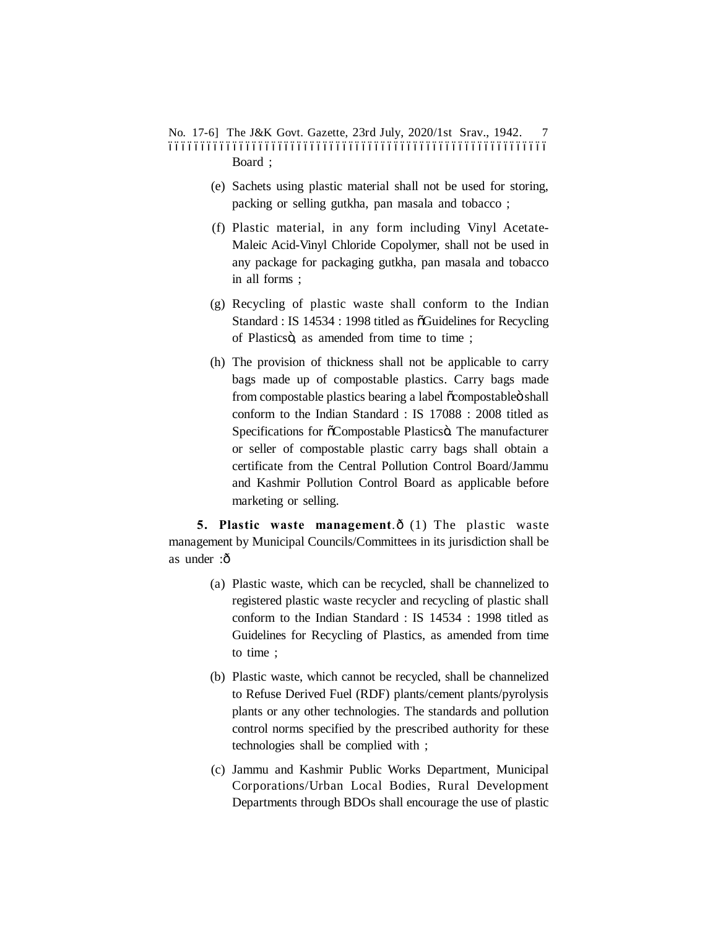No. 17-6] The J&K Govt. Gazette, 23rd July, 2020/1st Srav., 1942. 7 ––––––––––––––––––––––––––––––––––––––––––––––––––––––––––– Board ;

- (e) Sachets using plastic material shall not be used for storing, packing or selling gutkha, pan masala and tobacco ;
- (f) Plastic material, in any form including Vinyl Acetate-Maleic Acid-Vinyl Chloride Copolymer, shall not be used in any package for packaging gutkha, pan masala and tobacco in all forms ;
- (g) Recycling of plastic waste shall conform to the Indian Standard : IS 14534 : 1998 titled as  $\tilde{o}$ Guidelines for Recycling of Plasticsö, as amended from time to time;
- (h) The provision of thickness shall not be applicable to carry bags made up of compostable plastics. Carry bags made from compostable plastics bearing a label  $\tilde{o}$ compostable $\tilde{o}$  shall conform to the Indian Standard : IS 17088 : 2008 titled as Specifications for  $\tilde{o}$ Compostable Plastics $\ddot{o}$ . The manufacturer or seller of compostable plastic carry bags shall obtain a certificate from the Central Pollution Control Board/Jammu and Kashmir Pollution Control Board as applicable before marketing or selling.

**5. Plastic waste management.** $\hat{o}$  (1) The plastic waste management by Municipal Councils/Committees in its jurisdiction shall be as under :ô

- (a) Plastic waste, which can be recycled, shall be channelized to registered plastic waste recycler and recycling of plastic shall conform to the Indian Standard : IS 14534 : 1998 titled as Guidelines for Recycling of Plastics, as amended from time to time ;
- (b) Plastic waste, which cannot be recycled, shall be channelized to Refuse Derived Fuel (RDF) plants/cement plants/pyrolysis plants or any other technologies. The standards and pollution control norms specified by the prescribed authority for these technologies shall be complied with ;
- (c) Jammu and Kashmir Public Works Department, Municipal Corporations/Urban Local Bodies, Rural Development Departments through BDOs shall encourage the use of plastic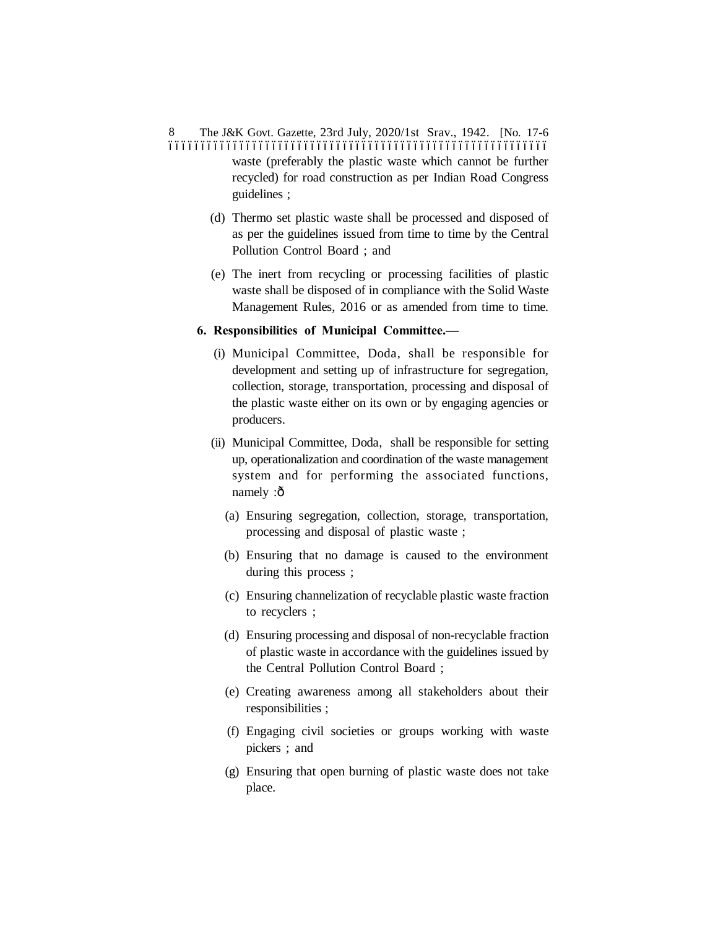The J&K Govt. Gazette, 23rd July, 2020/1st Srav., 1942. [No. 17-6 ––––––––––––––––––––––––––––––––––––––––––––––––––––––––––– 8 waste (preferably the plastic waste which cannot be further recycled) for road construction as per Indian Road Congress guidelines ;

- (d) Thermo set plastic waste shall be processed and disposed of as per the guidelines issued from time to time by the Central Pollution Control Board ; and
- (e) The inert from recycling or processing facilities of plastic waste shall be disposed of in compliance with the Solid Waste Management Rules, 2016 or as amended from time to time.
- **6. Responsibilities of Municipal Committee.—**
	- (i) Municipal Committee, Doda, shall be responsible for development and setting up of infrastructure for segregation, collection, storage, transportation, processing and disposal of the plastic waste either on its own or by engaging agencies or producers.
	- (ii) Municipal Committee, Doda, shall be responsible for setting up, operationalization and coordination of the waste management system and for performing the associated functions, namely :ô
		- (a) Ensuring segregation, collection, storage, transportation, processing and disposal of plastic waste ;
		- (b) Ensuring that no damage is caused to the environment during this process ;
		- (c) Ensuring channelization of recyclable plastic waste fraction to recyclers ;
		- (d) Ensuring processing and disposal of non-recyclable fraction of plastic waste in accordance with the guidelines issued by the Central Pollution Control Board ;
		- (e) Creating awareness among all stakeholders about their responsibilities ;
		- (f) Engaging civil societies or groups working with waste pickers ; and
		- (g) Ensuring that open burning of plastic waste does not take place.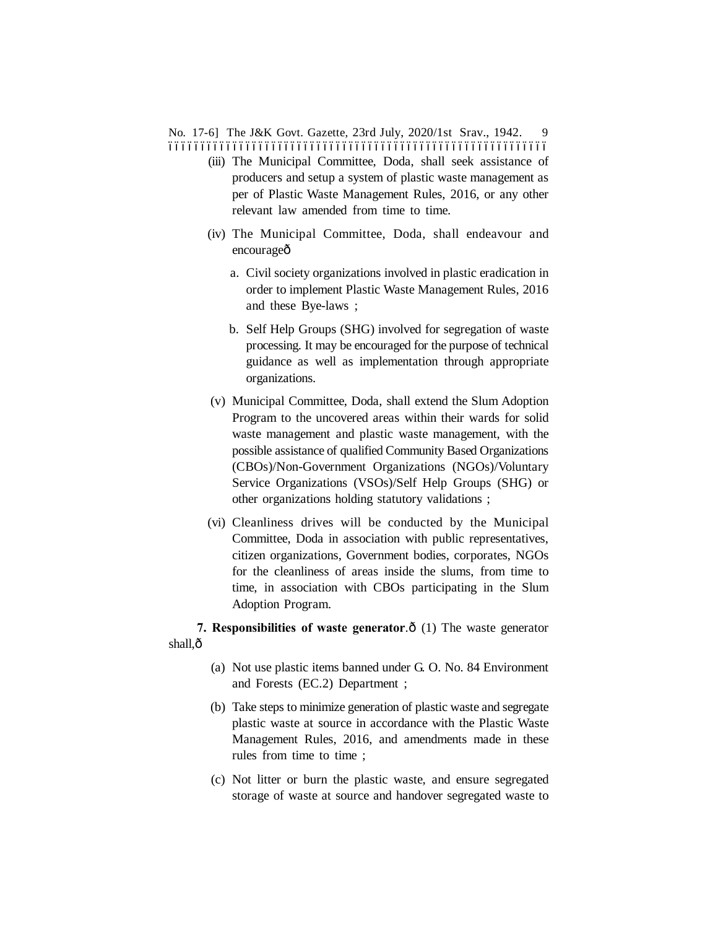No. 17-6] The J&K Govt. Gazette, 23rd July, 2020/1st Srav., 1942. 9 –––––––––––––––––––––––––––––––––––––––––––––––––––––––––––

- (iii) The Municipal Committee, Doda, shall seek assistance of producers and setup a system of plastic waste management as per of Plastic Waste Management Rules, 2016, or any other relevant law amended from time to time.
- (iv) The Municipal Committee, Doda, shall endeavour and encourageô
	- a. Civil society organizations involved in plastic eradication in order to implement Plastic Waste Management Rules, 2016 and these Bye-laws ;
	- b. Self Help Groups (SHG) involved for segregation of waste processing. It may be encouraged for the purpose of technical guidance as well as implementation through appropriate organizations.
- (v) Municipal Committee, Doda, shall extend the Slum Adoption Program to the uncovered areas within their wards for solid waste management and plastic waste management, with the possible assistance of qualified Community Based Organizations (CBOs)/Non-Government Organizations (NGOs)/Voluntary Service Organizations (VSOs)/Self Help Groups (SHG) or other organizations holding statutory validations ;
- (vi) Cleanliness drives will be conducted by the Municipal Committee, Doda in association with public representatives, citizen organizations, Government bodies, corporates, NGOs for the cleanliness of areas inside the slums, from time to time, in association with CBOs participating in the Slum Adoption Program.

**7. Responsibilities of waste generator.** $\hat{\text{o}}$  (1) The waste generator shall, $\hat{o}$ 

- (a) Not use plastic items banned under G. O. No. 84 Environment and Forests (EC.2) Department ;
- (b) Take steps to minimize generation of plastic waste and segregate plastic waste at source in accordance with the Plastic Waste Management Rules, 2016, and amendments made in these rules from time to time ;
- (c) Not litter or burn the plastic waste, and ensure segregated storage of waste at source and handover segregated waste to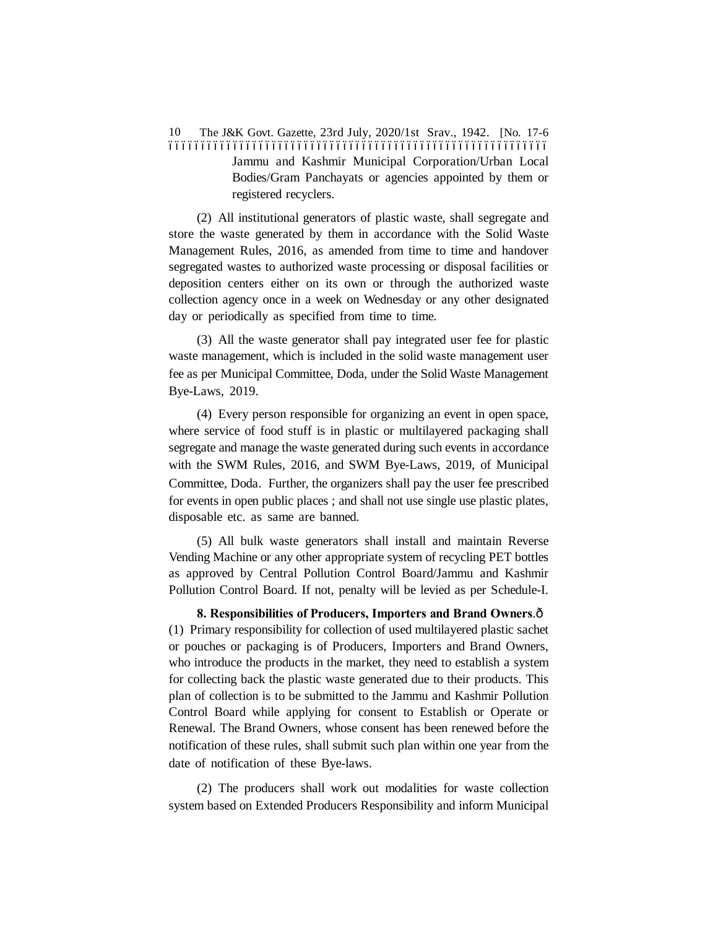The J&K Govt. Gazette, 23rd July, 2020/1st Srav., 1942. [No. 17-6 ––––––––––––––––––––––––––––––––––––––––––––––––––––––––––– 10 Jammu and Kashmir Municipal Corporation/Urban Local Bodies/Gram Panchayats or agencies appointed by them or registered recyclers.

(2) All institutional generators of plastic waste, shall segregate and store the waste generated by them in accordance with the Solid Waste Management Rules, 2016, as amended from time to time and handover segregated wastes to authorized waste processing or disposal facilities or deposition centers either on its own or through the authorized waste collection agency once in a week on Wednesday or any other designated day or periodically as specified from time to time.

(3) All the waste generator shall pay integrated user fee for plastic waste management, which is included in the solid waste management user fee as per Municipal Committee, Doda, under the Solid Waste Management Bye-Laws, 2019.

(4) Every person responsible for organizing an event in open space, where service of food stuff is in plastic or multilayered packaging shall segregate and manage the waste generated during such events in accordance with the SWM Rules, 2016, and SWM Bye-Laws, 2019, of Municipal Committee, Doda. Further, the organizers shall pay the user fee prescribed for events in open public places ; and shall not use single use plastic plates, disposable etc. as same are banned.

(5) All bulk waste generators shall install and maintain Reverse Vending Machine or any other appropriate system of recycling PET bottles as approved by Central Pollution Control Board/Jammu and Kashmir Pollution Control Board. If not, penalty will be levied as per Schedule-I.

**8. Responsibilities of Producers, Importers and Brand Owners.** $\hat{o}$ (1) Primary responsibility for collection of used multilayered plastic sachet or pouches or packaging is of Producers, Importers and Brand Owners, who introduce the products in the market, they need to establish a system for collecting back the plastic waste generated due to their products. This plan of collection is to be submitted to the Jammu and Kashmir Pollution Control Board while applying for consent to Establish or Operate or Renewal. The Brand Owners, whose consent has been renewed before the notification of these rules, shall submit such plan within one year from the date of notification of these Bye-laws.

(2) The producers shall work out modalities for waste collection system based on Extended Producers Responsibility and inform Municipal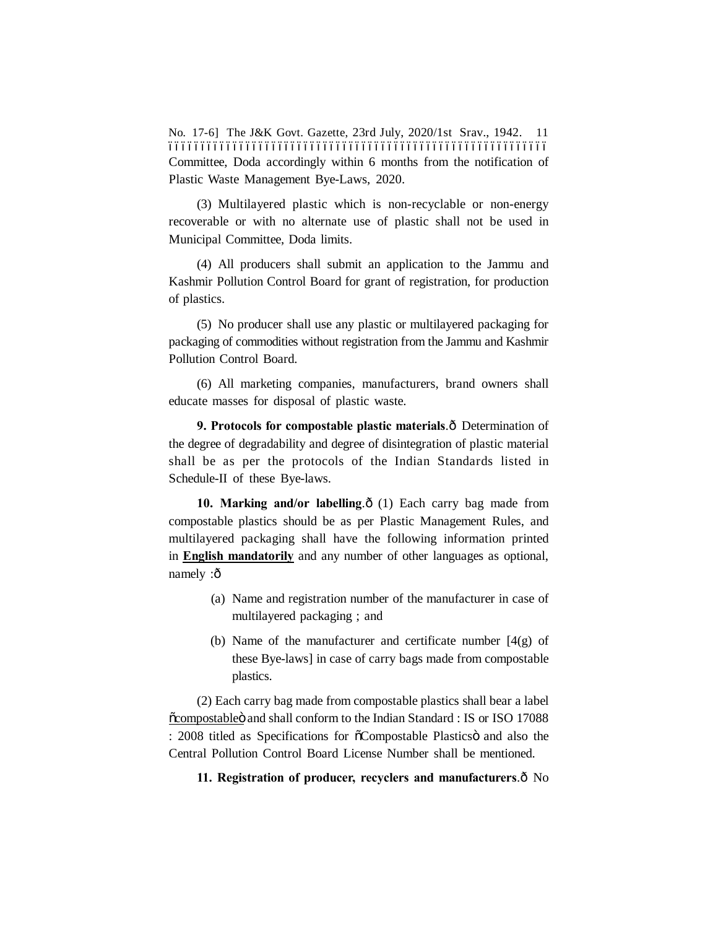No. 17-6] The J&K Govt. Gazette, 23rd July, 2020/1st Srav., 1942. ––––––––––––––––––––––––––––––––––––––––––––––––––––––––––– Committee, Doda accordingly within 6 months from the notification of Plastic Waste Management Bye-Laws, 2020.

(3) Multilayered plastic which is non-recyclable or non-energy recoverable or with no alternate use of plastic shall not be used in Municipal Committee, Doda limits.

(4) All producers shall submit an application to the Jammu and Kashmir Pollution Control Board for grant of registration, for production of plastics.

(5) No producer shall use any plastic or multilayered packaging for packaging of commodities without registration from the Jammu and Kashmir Pollution Control Board.

(6) All marketing companies, manufacturers, brand owners shall educate masses for disposal of plastic waste.

**9. Protocols for compostable plastic materials.** $\hat{o}$  Determination of the degree of degradability and degree of disintegration of plastic material shall be as per the protocols of the Indian Standards listed in Schedule-II of these Bye-laws.

10. Marking and/or labelling. $\delta$  (1) Each carry bag made from compostable plastics should be as per Plastic Management Rules, and multilayered packaging shall have the following information printed in **English mandatorily** and any number of other languages as optional, namely :ô

- (a) Name and registration number of the manufacturer in case of multilayered packaging ; and
- (b) Name of the manufacturer and certificate number  $[4(g)$  of these Bye-laws] in case of carry bags made from compostable plastics.

(2) Each carry bag made from compostable plastics shall bear a label  $\ddot{\text{o}}$ compostable $\ddot{\text{o}}$  and shall conform to the Indian Standard : IS or ISO 17088 : 2008 titled as Specifications for  $\tilde{o}$ Compostable Plastics and also the Central Pollution Control Board License Number shall be mentioned.

#### **11. Registration of producer, recyclers and manufacturers.** $\hat{o}$  No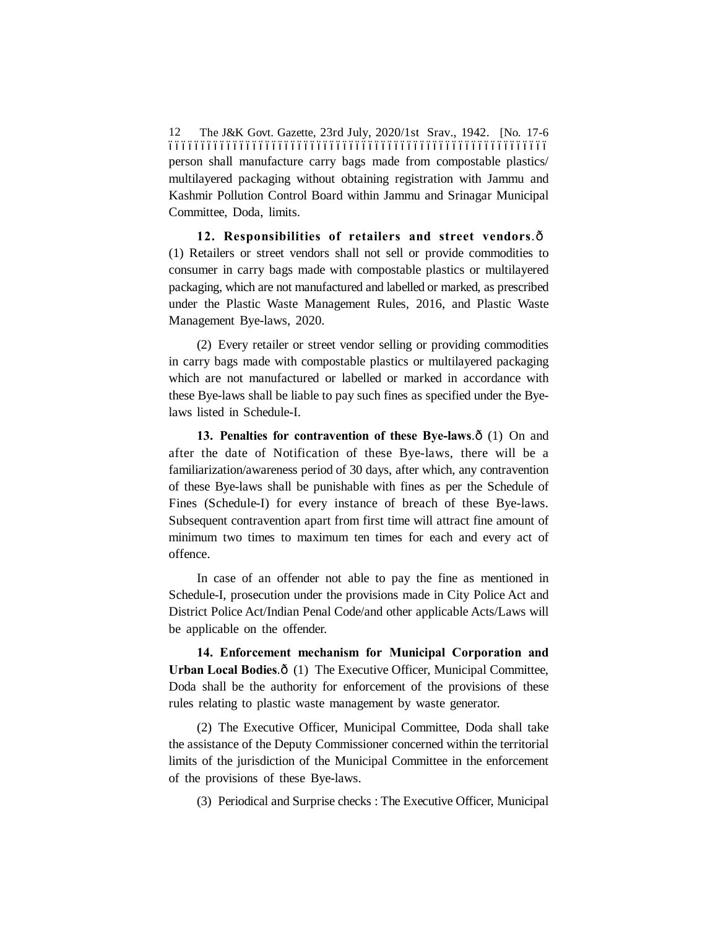The J&K Govt. Gazette, 23rd July, 2020/1st Srav., 1942. [No. 17-6 ––––––––––––––––––––––––––––––––––––––––––––––––––––––––––– 12 person shall manufacture carry bags made from compostable plastics/ multilayered packaging without obtaining registration with Jammu and Kashmir Pollution Control Board within Jammu and Srinagar Municipal Committee, Doda, limits.

12. Responsibilities of retailers and street vendors. $\hat{o}$ (1) Retailers or street vendors shall not sell or provide commodities to consumer in carry bags made with compostable plastics or multilayered packaging, which are not manufactured and labelled or marked, as prescribed under the Plastic Waste Management Rules, 2016, and Plastic Waste Management Bye-laws, 2020.

(2) Every retailer or street vendor selling or providing commodities in carry bags made with compostable plastics or multilayered packaging which are not manufactured or labelled or marked in accordance with these Bye-laws shall be liable to pay such fines as specified under the Byelaws listed in Schedule-I.

**13. Penalties for contravention of these Bye-laws.** $\hat{\sigma}$  (1) On and after the date of Notification of these Bye-laws, there will be a familiarization/awareness period of 30 days, after which, any contravention of these Bye-laws shall be punishable with fines as per the Schedule of Fines (Schedule-I) for every instance of breach of these Bye-laws. Subsequent contravention apart from first time will attract fine amount of minimum two times to maximum ten times for each and every act of offence.

In case of an offender not able to pay the fine as mentioned in Schedule-I, prosecution under the provisions made in City Police Act and District Police Act/Indian Penal Code/and other applicable Acts/Laws will be applicable on the offender.

**14. Enforcement mechanism for Municipal Corporation and** Urban Local Bodies. $\hat{o}$  (1) The Executive Officer, Municipal Committee, Doda shall be the authority for enforcement of the provisions of these rules relating to plastic waste management by waste generator.

(2) The Executive Officer, Municipal Committee, Doda shall take the assistance of the Deputy Commissioner concerned within the territorial limits of the jurisdiction of the Municipal Committee in the enforcement of the provisions of these Bye-laws.

(3) Periodical and Surprise checks : The Executive Officer, Municipal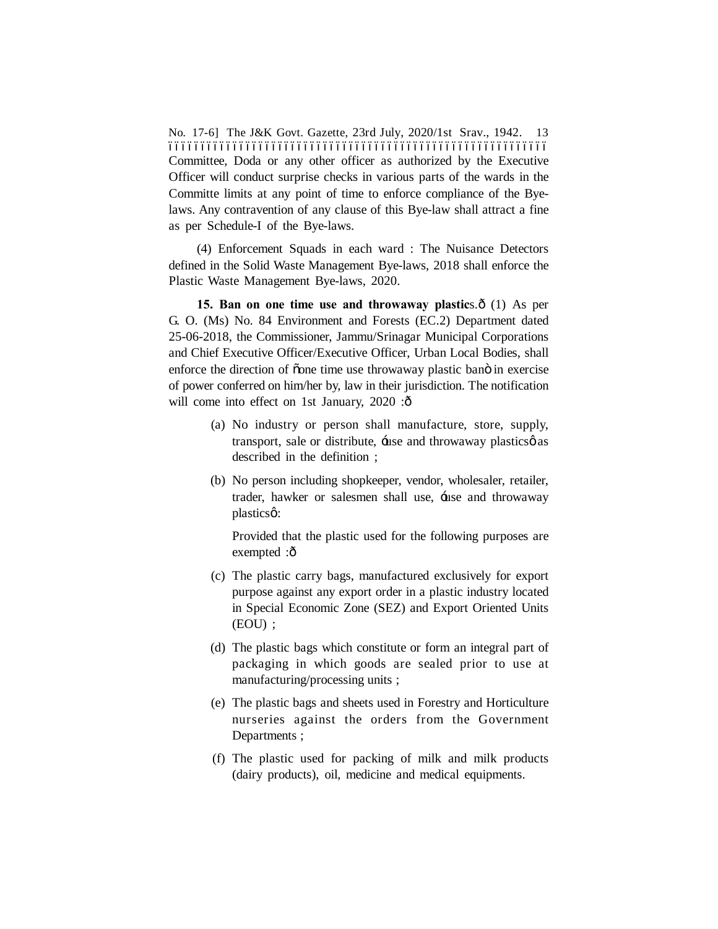No. 17-6] The J&K Govt. Gazette, 23rd July, 2020/1st Srav., 1942. ––––––––––––––––––––––––––––––––––––––––––––––––––––––––––– Committee, Doda or any other officer as authorized by the Executive Officer will conduct surprise checks in various parts of the wards in the Committe limits at any point of time to enforce compliance of the Byelaws. Any contravention of any clause of this Bye-law shall attract a fine as per Schedule-I of the Bye-laws.

(4) Enforcement Squads in each ward : The Nuisance Detectors defined in the Solid Waste Management Bye-laws, 2018 shall enforce the Plastic Waste Management Bye-laws, 2020.

**15. Ban on one time use and throwaway plastics.**  $\hat{o}$  (1) As per G. O. (Ms) No. 84 Environment and Forests (EC.2) Department dated 25-06-2018, the Commissioner, Jammu/Srinagar Municipal Corporations and Chief Executive Officer/Executive Officer, Urban Local Bodies, shall enforce the direction of oone time use throwaway plastic bano in exercise of power conferred on him/her by, law in their jurisdiction. The notification will come into effect on 1st January,  $2020$ : $\hat{o}$ 

- (a) No industry or person shall manufacture, store, supply, transport, sale or distribute, the and throwaway plastics as described in the definition ;
- (b) No person including shopkeeper, vendor, wholesaler, retailer, trader, hawker or salesmen shall use, 'use and throwaway plasticsø:

Provided that the plastic used for the following purposes are exempted :ô

- (c) The plastic carry bags, manufactured exclusively for export purpose against any export order in a plastic industry located in Special Economic Zone (SEZ) and Export Oriented Units (EOU) ;
- (d) The plastic bags which constitute or form an integral part of packaging in which goods are sealed prior to use at manufacturing/processing units ;
- (e) The plastic bags and sheets used in Forestry and Horticulture nurseries against the orders from the Government Departments ;
- (f) The plastic used for packing of milk and milk products (dairy products), oil, medicine and medical equipments.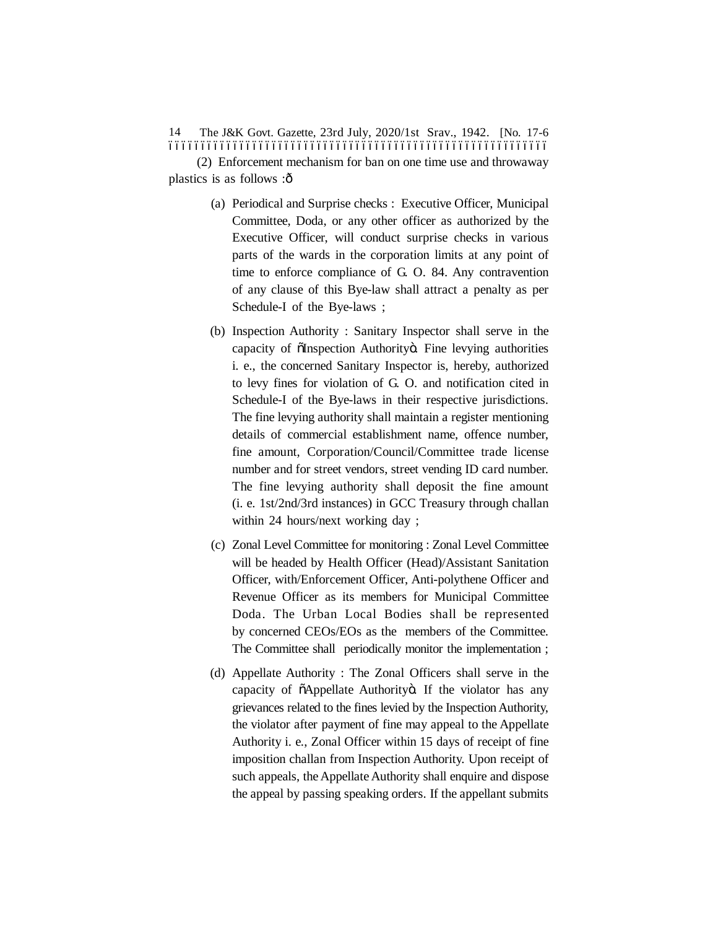The J&K Govt. Gazette, 23rd July, 2020/1st Srav., 1942. [No. 17-6 ––––––––––––––––––––––––––––––––––––––––––––––––––––––––––– 14

(2) Enforcement mechanism for ban on one time use and throwaway plastics is as follows  $:\hat{\Omega}$ 

- (a) Periodical and Surprise checks : Executive Officer, Municipal Committee, Doda, or any other officer as authorized by the Executive Officer, will conduct surprise checks in various parts of the wards in the corporation limits at any point of time to enforce compliance of G. O. 84. Any contravention of any clause of this Bye-law shall attract a penalty as per Schedule-I of the Bye-laws ;
- (b) Inspection Authority : Sanitary Inspector shall serve in the capacity of õInspection Authorityö. Fine levying authorities i. e., the concerned Sanitary Inspector is, hereby, authorized to levy fines for violation of G. O. and notification cited in Schedule-I of the Bye-laws in their respective jurisdictions. The fine levying authority shall maintain a register mentioning details of commercial establishment name, offence number, fine amount, Corporation/Council/Committee trade license number and for street vendors, street vending ID card number. The fine levying authority shall deposit the fine amount (i. e. 1st/2nd/3rd instances) in GCC Treasury through challan within 24 hours/next working day ;
- (c) Zonal Level Committee for monitoring : Zonal Level Committee will be headed by Health Officer (Head)/Assistant Sanitation Officer, with/Enforcement Officer, Anti-polythene Officer and Revenue Officer as its members for Municipal Committee Doda. The Urban Local Bodies shall be represented by concerned CEOs/EOs as the members of the Committee. The Committee shall periodically monitor the implementation;
- (d) Appellate Authority : The Zonal Officers shall serve in the capacity of  $\tilde{o}$ Appellate Authorityö. If the violator has any grievances related to the fines levied by the Inspection Authority, the violator after payment of fine may appeal to the Appellate Authority i. e., Zonal Officer within 15 days of receipt of fine imposition challan from Inspection Authority. Upon receipt of such appeals, the Appellate Authority shall enquire and dispose the appeal by passing speaking orders. If the appellant submits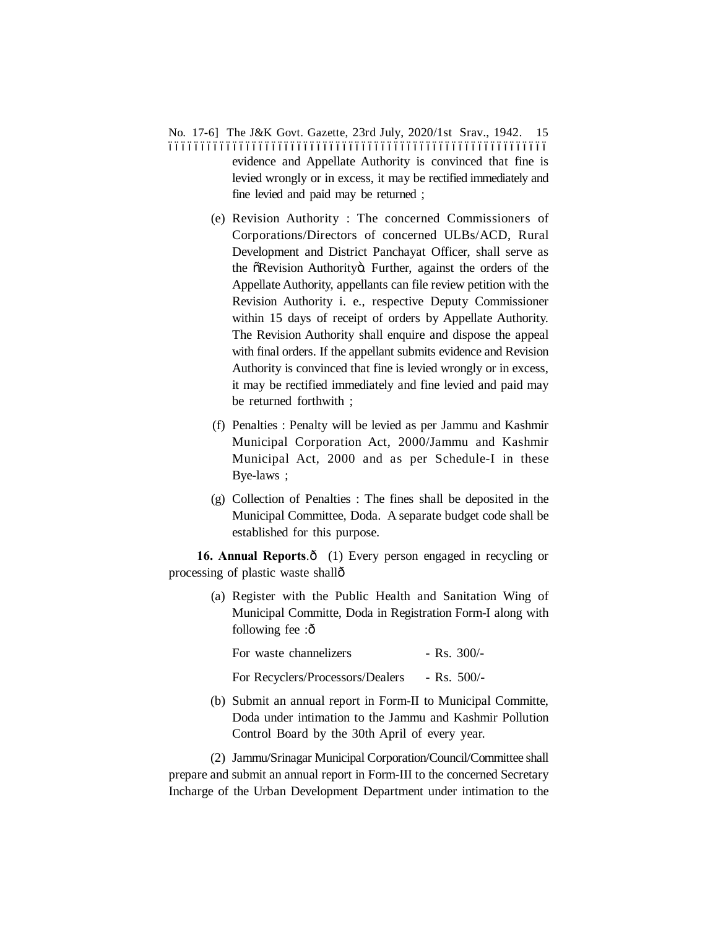- No. 17-6] The J&K Govt. Gazette, 23rd July, 2020/1st Srav., 1942. ––––––––––––––––––––––––––––––––––––––––––––––––––––––––––– evidence and Appellate Authority is convinced that fine is levied wrongly or in excess, it may be rectified immediately and fine levied and paid may be returned ;
	- (e) Revision Authority : The concerned Commissioners of Corporations/Directors of concerned ULBs/ACD, Rural Development and District Panchayat Officer, shall serve as the  $\delta$ Revision Authorityö. Further, against the orders of the Appellate Authority, appellants can file review petition with the Revision Authority i. e., respective Deputy Commissioner within 15 days of receipt of orders by Appellate Authority. The Revision Authority shall enquire and dispose the appeal with final orders. If the appellant submits evidence and Revision Authority is convinced that fine is levied wrongly or in excess, it may be rectified immediately and fine levied and paid may be returned forthwith ;
	- (f) Penalties : Penalty will be levied as per Jammu and Kashmir Municipal Corporation Act, 2000/Jammu and Kashmir Municipal Act, 2000 and as per Schedule-I in these Bye-laws ;
	- (g) Collection of Penalties : The fines shall be deposited in the Municipal Committee, Doda. A separate budget code shall be established for this purpose.

**16. Annual Reports.** $\hat{o}$  (1) Every person engaged in recycling or processing of plastic waste shall—

> (a) Register with the Public Health and Sanitation Wing of Municipal Committe, Doda in Registration Form-I along with following fee :ô

| For waste channelizers           | $-$ Rs. 300/- |
|----------------------------------|---------------|
| For Recyclers/Processors/Dealers | $-$ Rs. 500/- |

(b) Submit an annual report in Form-II to Municipal Committe, Doda under intimation to the Jammu and Kashmir Pollution Control Board by the 30th April of every year.

(2) Jammu/Srinagar Municipal Corporation/Council/Committee shall prepare and submit an annual report in Form-III to the concerned Secretary Incharge of the Urban Development Department under intimation to the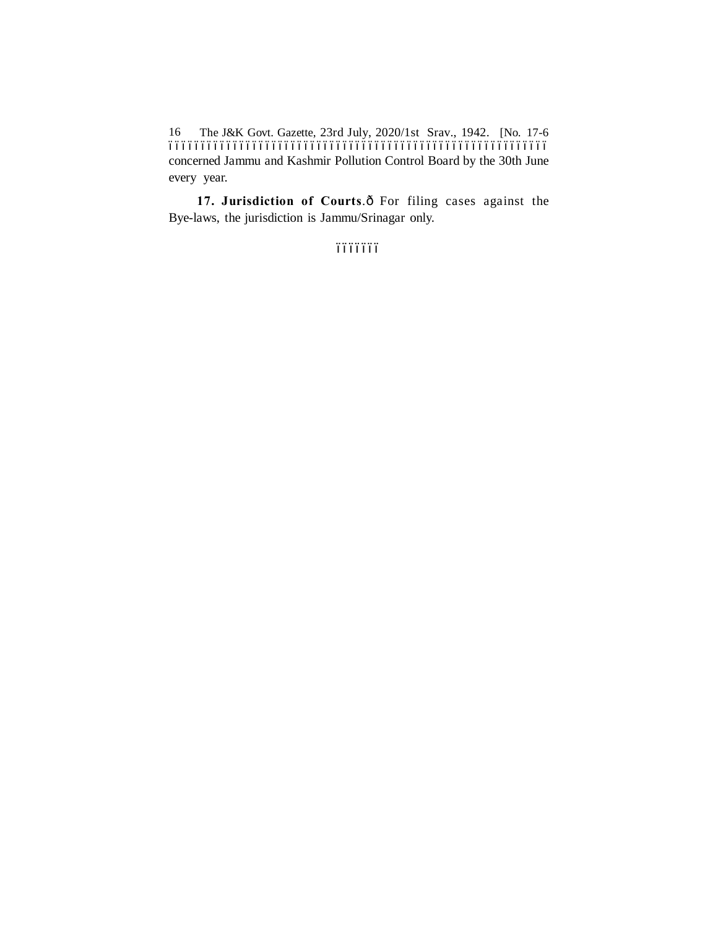The J&K Govt. Gazette, 23rd July, 2020/1st Srav., 1942. [No. 17-6 ––––––––––––––––––––––––––––––––––––––––––––––––––––––––––– 16 concerned Jammu and Kashmir Pollution Control Board by the 30th June every year.

17. **Jurisdiction of Courts**. $\hat{o}$  For filing cases against the Bye-laws, the jurisdiction is Jammu/Srinagar only.

óóóóóóó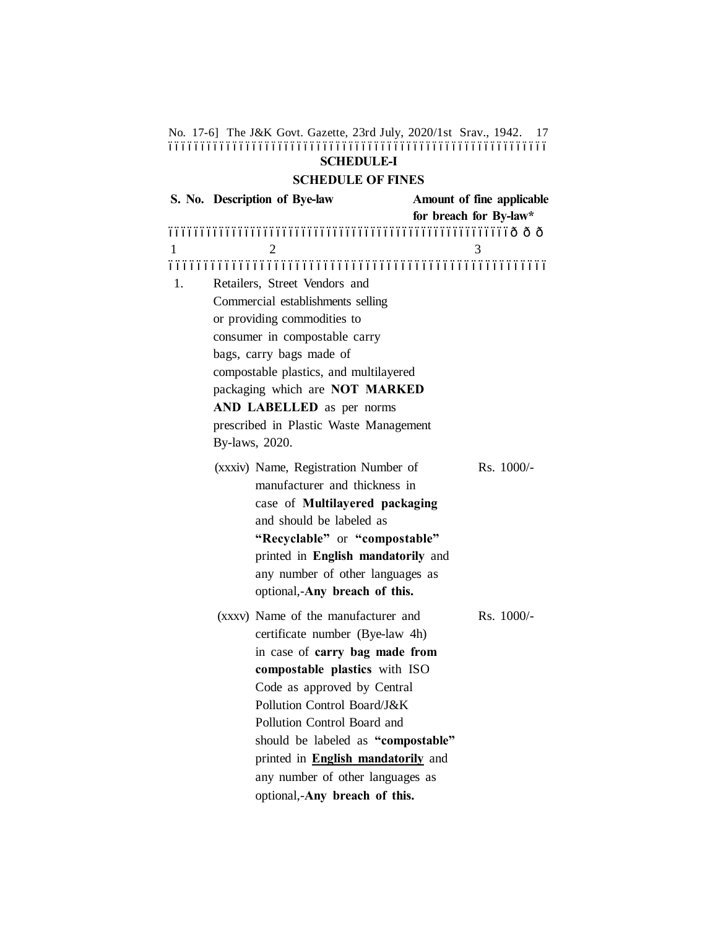| No. 17-6] The J&K Govt. Gazette, 23rd July, 2020/1st Srav., 1942. | <b>SCHEDULE-I</b>                                                                                                                                                                                                                                                                                                                                                                              |                                                     | 17         |
|-------------------------------------------------------------------|------------------------------------------------------------------------------------------------------------------------------------------------------------------------------------------------------------------------------------------------------------------------------------------------------------------------------------------------------------------------------------------------|-----------------------------------------------------|------------|
|                                                                   | <b>SCHEDULE OF FINES</b>                                                                                                                                                                                                                                                                                                                                                                       |                                                     |            |
| S. No. Description of Bye-law                                     |                                                                                                                                                                                                                                                                                                                                                                                                | Amount of fine applicable<br>for breach for By-law* |            |
| 1<br>2                                                            |                                                                                                                                                                                                                                                                                                                                                                                                | 3                                                   |            |
| 1.<br>bags, carry bags made of<br>By-laws, 2020.                  | Retailers, Street Vendors and<br>Commercial establishments selling<br>or providing commodities to<br>consumer in compostable carry<br>compostable plastics, and multilayered<br>packaging which are NOT MARKED<br>AND LABELLED as per norms<br>prescribed in Plastic Waste Management                                                                                                          |                                                     |            |
|                                                                   | (xxxiv) Name, Registration Number of<br>manufacturer and thickness in<br>case of Multilayered packaging<br>and should be labeled as<br>"Recyclable" or "compostable"<br>printed in English mandatorily and<br>any number of other languages as<br>optional,-Any breach of this.                                                                                                                |                                                     | Rs. 1000/- |
|                                                                   | (xxxv) Name of the manufacturer and<br>certificate number (Bye-law 4h)<br>in case of carry bag made from<br>compostable plastics with ISO<br>Code as approved by Central<br>Pollution Control Board/J&K<br>Pollution Control Board and<br>should be labeled as "compostable"<br>printed in <b>English mandatorily</b> and<br>any number of other languages as<br>optional,-Any breach of this. |                                                     | Rs. 1000/- |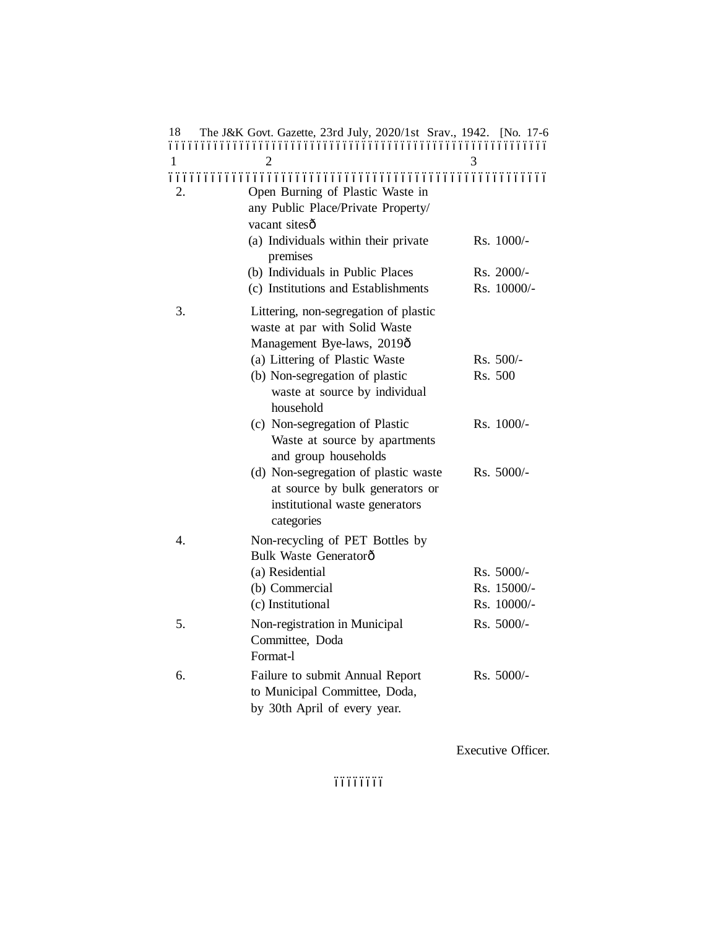| 18 | The J&K Govt. Gazette, 23rd July, 2020/1st Srav., 1942. [No. 17-6                                                       |              |
|----|-------------------------------------------------------------------------------------------------------------------------|--------------|
|    |                                                                                                                         |              |
| 1  | 2                                                                                                                       | 3            |
| 2. | Open Burning of Plastic Waste in<br>any Public Place/Private Property/<br>vacant sitesô                                 |              |
|    | (a) Individuals within their private<br>premises                                                                        | Rs. 1000/-   |
|    | (b) Individuals in Public Places                                                                                        | Rs. 2000/-   |
|    | (c) Institutions and Establishments                                                                                     | Rs. 10000/-  |
| 3. | Littering, non-segregation of plastic<br>waste at par with Solid Waste<br>Management Bye-laws, 2019ô                    |              |
|    | (a) Littering of Plastic Waste                                                                                          | $Rs. 500/-$  |
|    | (b) Non-segregation of plastic<br>waste at source by individual<br>household                                            | Rs. 500      |
|    | (c) Non-segregation of Plastic<br>Waste at source by apartments<br>and group households                                 | $Rs. 1000/-$ |
|    | (d) Non-segregation of plastic waste<br>at source by bulk generators or<br>institutional waste generators<br>categories | Rs. 5000/-   |
| 4. | Non-recycling of PET Bottles by<br>Bulk Waste Generatorô                                                                |              |
|    | (a) Residential                                                                                                         | $Rs. 5000/-$ |
|    | (b) Commercial                                                                                                          | Rs. 15000/-  |
|    | (c) Institutional                                                                                                       | Rs. 10000/-  |
| 5. | Non-registration in Municipal<br>Committee, Doda<br>Format-1                                                            | Rs. 5000/-   |
| 6. | Failure to submit Annual Report<br>to Municipal Committee, Doda,<br>by 30th April of every year.                        | Rs. 5000/-   |
|    |                                                                                                                         |              |

Executive Officer.

óóóóóóó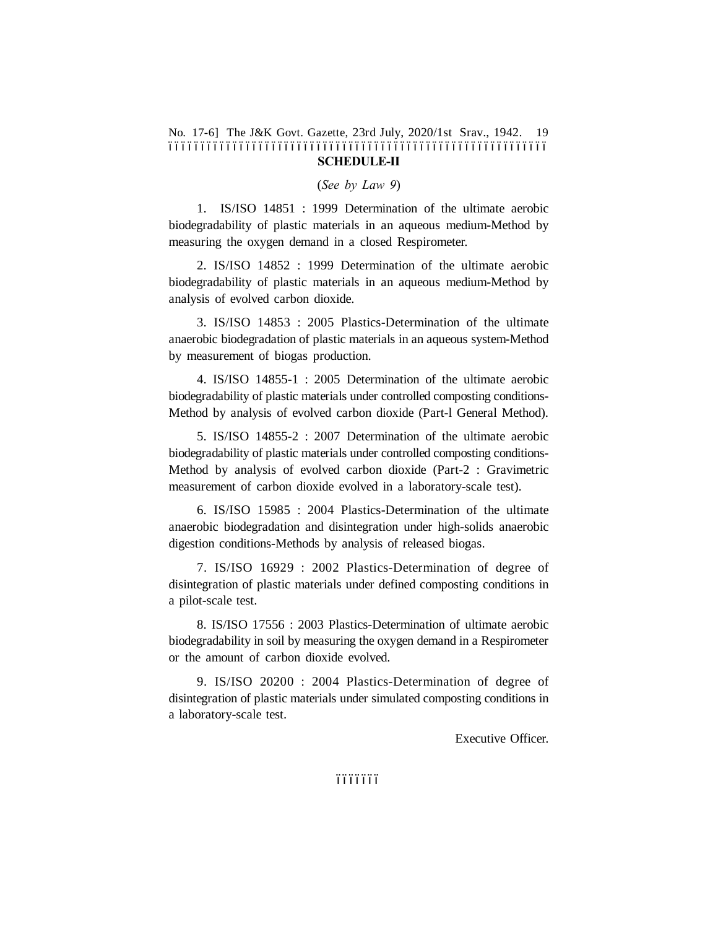#### No. 17-6] The J&K Govt. Gazette, 23rd July, 2020/1st Srav., 1942. 19 ––––––––––––––––––––––––––––––––––––––––––––––––––––––––––– **SCHEDULE-II**

(*See by Law 9*)

1. IS/ISO 14851 : 1999 Determination of the ultimate aerobic biodegradability of plastic materials in an aqueous medium-Method by measuring the oxygen demand in a closed Respirometer.

2. IS/ISO 14852 : 1999 Determination of the ultimate aerobic biodegradability of plastic materials in an aqueous medium-Method by analysis of evolved carbon dioxide.

3. IS/ISO 14853 : 2005 Plastics-Determination of the ultimate anaerobic biodegradation of plastic materials in an aqueous system-Method by measurement of biogas production.

4. IS/ISO 14855-1 : 2005 Determination of the ultimate aerobic biodegradability of plastic materials under controlled composting conditions-Method by analysis of evolved carbon dioxide (Part-l General Method).

5. IS/ISO 14855-2 : 2007 Determination of the ultimate aerobic biodegradability of plastic materials under controlled composting conditions-Method by analysis of evolved carbon dioxide (Part-2 : Gravimetric measurement of carbon dioxide evolved in a laboratory-scale test).

6. IS/ISO 15985 : 2004 Plastics-Determination of the ultimate anaerobic biodegradation and disintegration under high-solids anaerobic digestion conditions-Methods by analysis of released biogas.

7. IS/ISO 16929 : 2002 Plastics-Determination of degree of disintegration of plastic materials under defined composting conditions in a pilot-scale test.

8. IS/ISO 17556 : 2003 Plastics-Determination of ultimate aerobic biodegradability in soil by measuring the oxygen demand in a Respirometer or the amount of carbon dioxide evolved.

9. IS/ISO 20200 : 2004 Plastics-Determination of degree of disintegration of plastic materials under simulated composting conditions in a laboratory-scale test.

Executive Officer.

óóóóóóó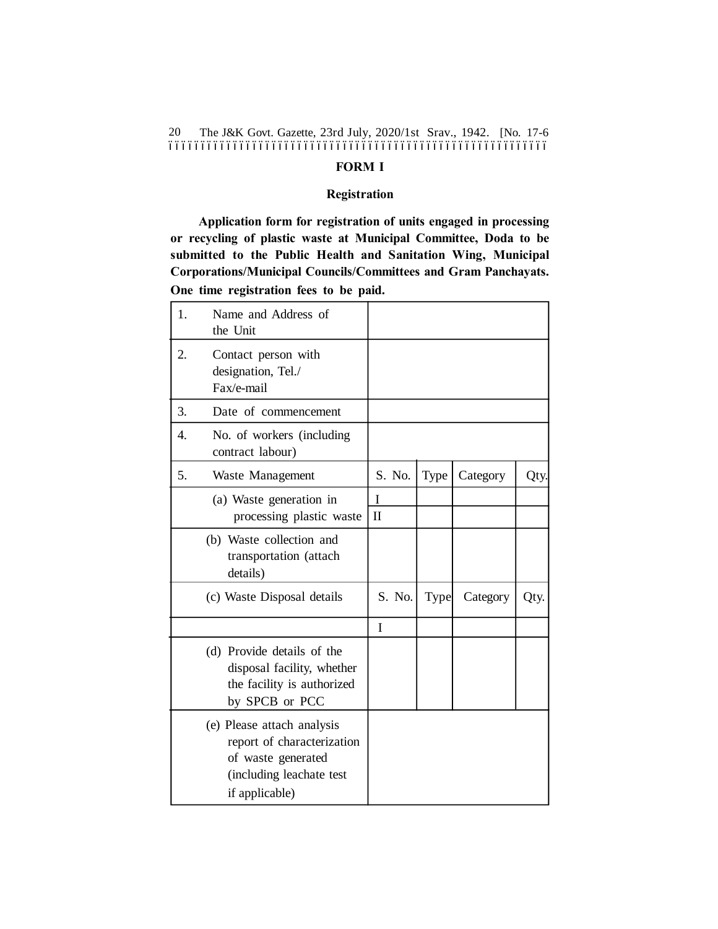The J&K Govt. Gazette, 23rd July, 2020/1st Srav., 1942. [No. 17-6 ––––––––––––––––––––––––––––––––––––––––––––––––––––––––––– 20

## **FORM I**

#### **Registration**

**Application form for registration of units engaged in processing or recycling of plastic waste at Municipal Committee, Doda to be submitted to the Public Health and Sanitation Wing, Municipal Corporations/Municipal Councils/Committees and Gram Panchayats. One time registration fees to be paid.**

| 1. | Name and Address of<br>the Unit                                                                                              |                   |      |          |      |
|----|------------------------------------------------------------------------------------------------------------------------------|-------------------|------|----------|------|
| 2. | Contact person with<br>designation, Tel./<br>Fax/e-mail                                                                      |                   |      |          |      |
| 3. | Date of commencement                                                                                                         |                   |      |          |      |
| 4. | No. of workers (including<br>contract labour)                                                                                |                   |      |          |      |
| 5. | Waste Management                                                                                                             | S. No.            | Type | Category | Qty. |
|    | (a) Waste generation in<br>processing plastic waste                                                                          | I<br>$\mathbf{I}$ |      |          |      |
|    | (b) Waste collection and<br>transportation (attach<br>details)                                                               |                   |      |          |      |
|    | (c) Waste Disposal details                                                                                                   | S. No.            | Type | Category | Qty. |
|    |                                                                                                                              | I                 |      |          |      |
|    | (d) Provide details of the<br>disposal facility, whether<br>the facility is authorized<br>by SPCB or PCC                     |                   |      |          |      |
|    | (e) Please attach analysis<br>report of characterization<br>of waste generated<br>(including leachate test<br>if applicable) |                   |      |          |      |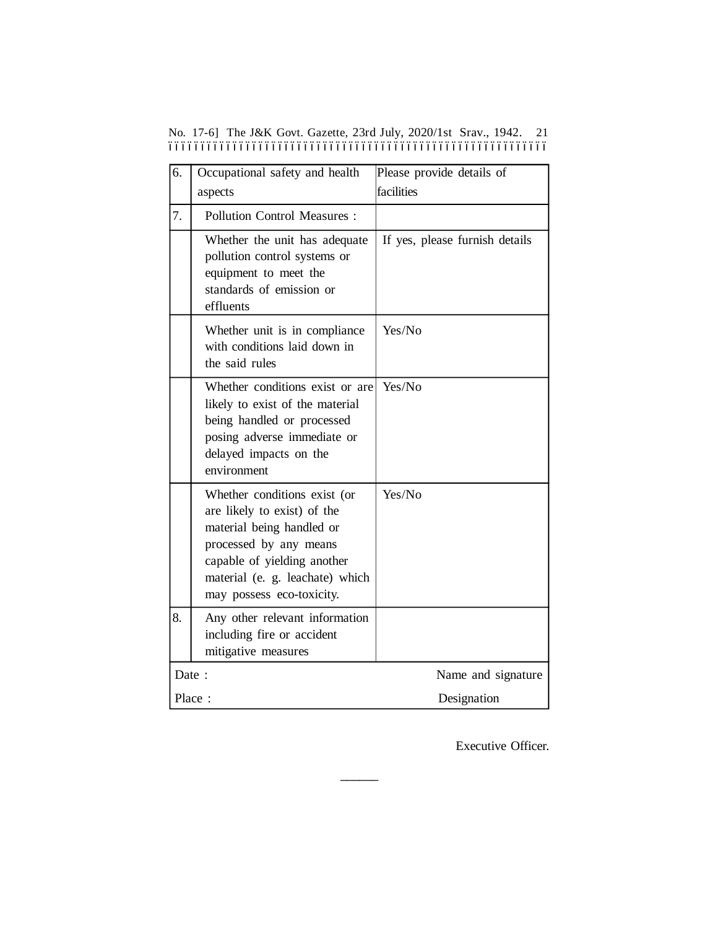|  |  |  |  | No. 17-6] The J&K Govt. Gazette, 23rd July, 2020/1st Srav., 1942. 21 |  |  |
|--|--|--|--|----------------------------------------------------------------------|--|--|
|  |  |  |  |                                                                      |  |  |

| 6.    | Occupational safety and health                                                                                                                                                                                    | Please provide details of      |
|-------|-------------------------------------------------------------------------------------------------------------------------------------------------------------------------------------------------------------------|--------------------------------|
|       | aspects                                                                                                                                                                                                           | facilities                     |
| 7.    | <b>Pollution Control Measures:</b>                                                                                                                                                                                |                                |
|       | Whether the unit has adequate<br>pollution control systems or<br>equipment to meet the<br>standards of emission or<br>effluents                                                                                   | If yes, please furnish details |
|       | Whether unit is in compliance<br>with conditions laid down in<br>the said rules                                                                                                                                   | Yes/No                         |
|       | Whether conditions exist or are<br>likely to exist of the material<br>being handled or processed<br>posing adverse immediate or<br>delayed impacts on the<br>environment                                          | Yes/No                         |
|       | Whether conditions exist (or<br>are likely to exist) of the<br>material being handled or<br>processed by any means<br>capable of yielding another<br>material (e. g. leachate) which<br>may possess eco-toxicity. | Yes/No                         |
| 8.    | Any other relevant information<br>including fire or accident<br>mitigative measures                                                                                                                               |                                |
| Date: |                                                                                                                                                                                                                   | Name and signature             |
|       | Place:                                                                                                                                                                                                            | Designation                    |

**––––––**

Executive Officer.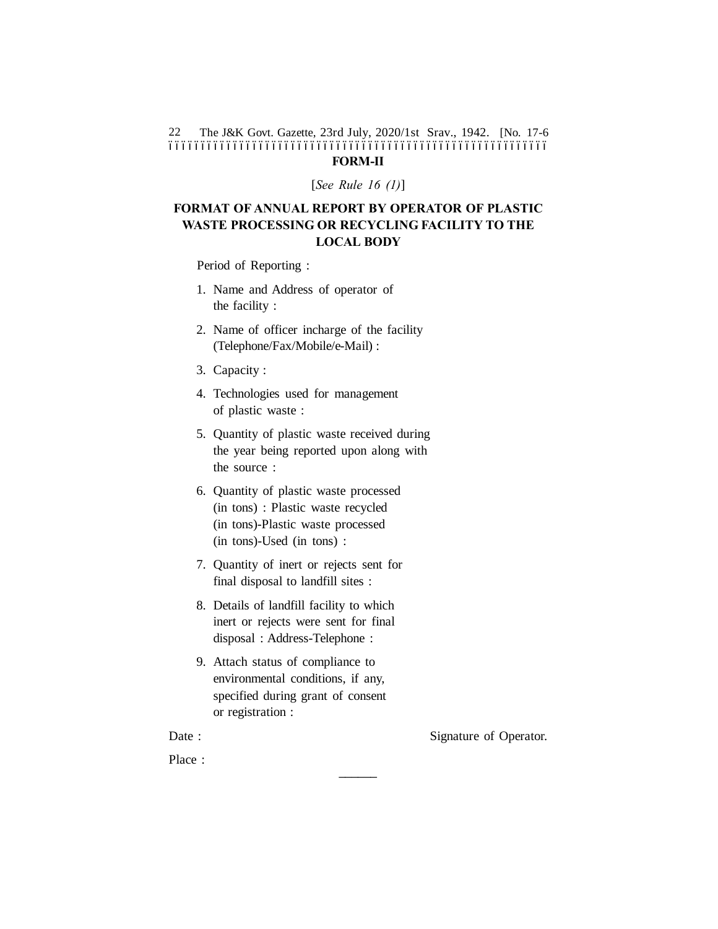The J&K Govt. Gazette, 23rd July, 2020/1st Srav., 1942. [No. 17-6 ––––––––––––––––––––––––––––––––––––––––––––––––––––––––––– 22 **FORM-II**

[*See Rule 16 (1)*]

## **FORMAT OF ANNUAL REPORT BY OPERATOR OF PLASTIC WASTE PROCESSING OR RECYCLING FACILITY TO THE LOCAL BODY**

Period of Reporting :

- 1. Name and Address of operator of the facility :
- 2. Name of officer incharge of the facility (Telephone/Fax/Mobile/e-Mail) :
- 3. Capacity :
- 4. Technologies used for management of plastic waste :
- 5. Quantity of plastic waste received during the year being reported upon along with the source :
- 6. Quantity of plastic waste processed (in tons) : Plastic waste recycled (in tons)-Plastic waste processed (in tons)-Used (in tons) :
- 7. Quantity of inert or rejects sent for final disposal to landfill sites :
- 8. Details of landfill facility to which inert or rejects were sent for final disposal : Address-Telephone :
- 9. Attach status of compliance to environmental conditions, if any, specified during grant of consent or registration :

**––––––**

Date : Signature of Operator.

Place :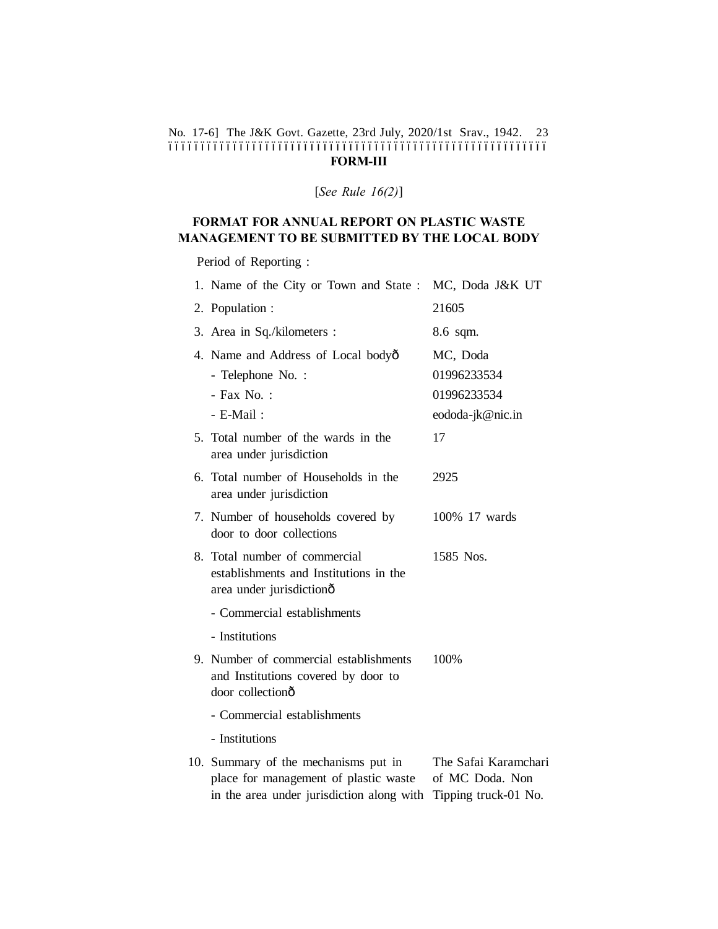#### No. 17-6] The J&K Govt. Gazette, 23rd July, 2020/1st Srav., 1942. 23 ––––––––––––––––––––––––––––––––––––––––––––––––––––––––––– **FORM-III**

[*See Rule 16(2)*]

# **FORMAT FOR ANNUAL REPORT ON PLASTIC WASTE MANAGEMENT TO BE SUBMITTED BY THE LOCAL BODY**

Period of Reporting :

| 1. Name of the City or Town and State :                                                                                    | MC, Doda J&K UT                                                 |
|----------------------------------------------------------------------------------------------------------------------------|-----------------------------------------------------------------|
| 2. Population :                                                                                                            | 21605                                                           |
| 3. Area in Sq./kilometers :                                                                                                | 8.6 sqm.                                                        |
| 4. Name and Address of Local bodyô                                                                                         | MC, Doda                                                        |
| - Telephone No. :                                                                                                          | 01996233534                                                     |
| - Fax No.:                                                                                                                 | 01996233534                                                     |
| - E-Mail:                                                                                                                  | eododa-jk@nic.in                                                |
| 5. Total number of the wards in the<br>area under jurisdiction                                                             | 17                                                              |
| 6. Total number of Households in the<br>area under jurisdiction                                                            | 2925                                                            |
| 7. Number of households covered by<br>door to door collections                                                             | 100% 17 wards                                                   |
| 8. Total number of commercial<br>establishments and Institutions in the<br>area under jurisdictionô                        | 1585 Nos.                                                       |
| - Commercial establishments                                                                                                |                                                                 |
| - Institutions                                                                                                             |                                                                 |
| 9. Number of commercial establishments<br>and Institutions covered by door to<br>door collectionô                          | 100%                                                            |
| - Commercial establishments                                                                                                |                                                                 |
| - Institutions                                                                                                             |                                                                 |
| 10. Summary of the mechanisms put in<br>place for management of plastic waste<br>in the area under jurisdiction along with | The Safai Karamchari<br>of MC Doda. Non<br>Tipping truck-01 No. |